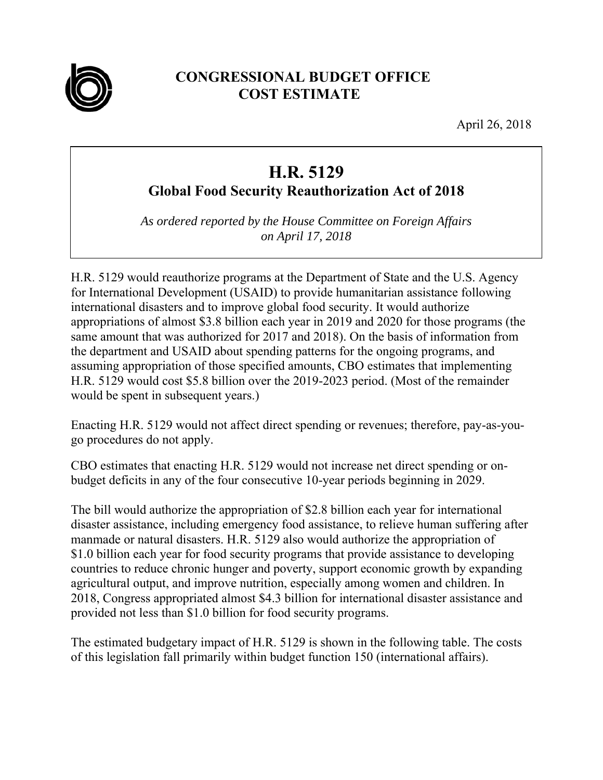

## **CONGRESSIONAL BUDGET OFFICE COST ESTIMATE**

April 26, 2018

## **H.R. 5129**

**Global Food Security Reauthorization Act of 2018** 

*As ordered reported by the House Committee on Foreign Affairs on April 17, 2018* 

H.R. 5129 would reauthorize programs at the Department of State and the U.S. Agency for International Development (USAID) to provide humanitarian assistance following international disasters and to improve global food security. It would authorize appropriations of almost \$3.8 billion each year in 2019 and 2020 for those programs (the same amount that was authorized for 2017 and 2018). On the basis of information from the department and USAID about spending patterns for the ongoing programs, and assuming appropriation of those specified amounts, CBO estimates that implementing H.R. 5129 would cost \$5.8 billion over the 2019-2023 period. (Most of the remainder would be spent in subsequent years.)

Enacting H.R. 5129 would not affect direct spending or revenues; therefore, pay-as-yougo procedures do not apply.

CBO estimates that enacting H.R. 5129 would not increase net direct spending or onbudget deficits in any of the four consecutive 10-year periods beginning in 2029.

The bill would authorize the appropriation of \$2.8 billion each year for international disaster assistance, including emergency food assistance, to relieve human suffering after manmade or natural disasters. H.R. 5129 also would authorize the appropriation of \$1.0 billion each year for food security programs that provide assistance to developing countries to reduce chronic hunger and poverty, support economic growth by expanding agricultural output, and improve nutrition, especially among women and children. In 2018, Congress appropriated almost \$4.3 billion for international disaster assistance and provided not less than \$1.0 billion for food security programs.

The estimated budgetary impact of H.R. 5129 is shown in the following table. The costs of this legislation fall primarily within budget function 150 (international affairs).